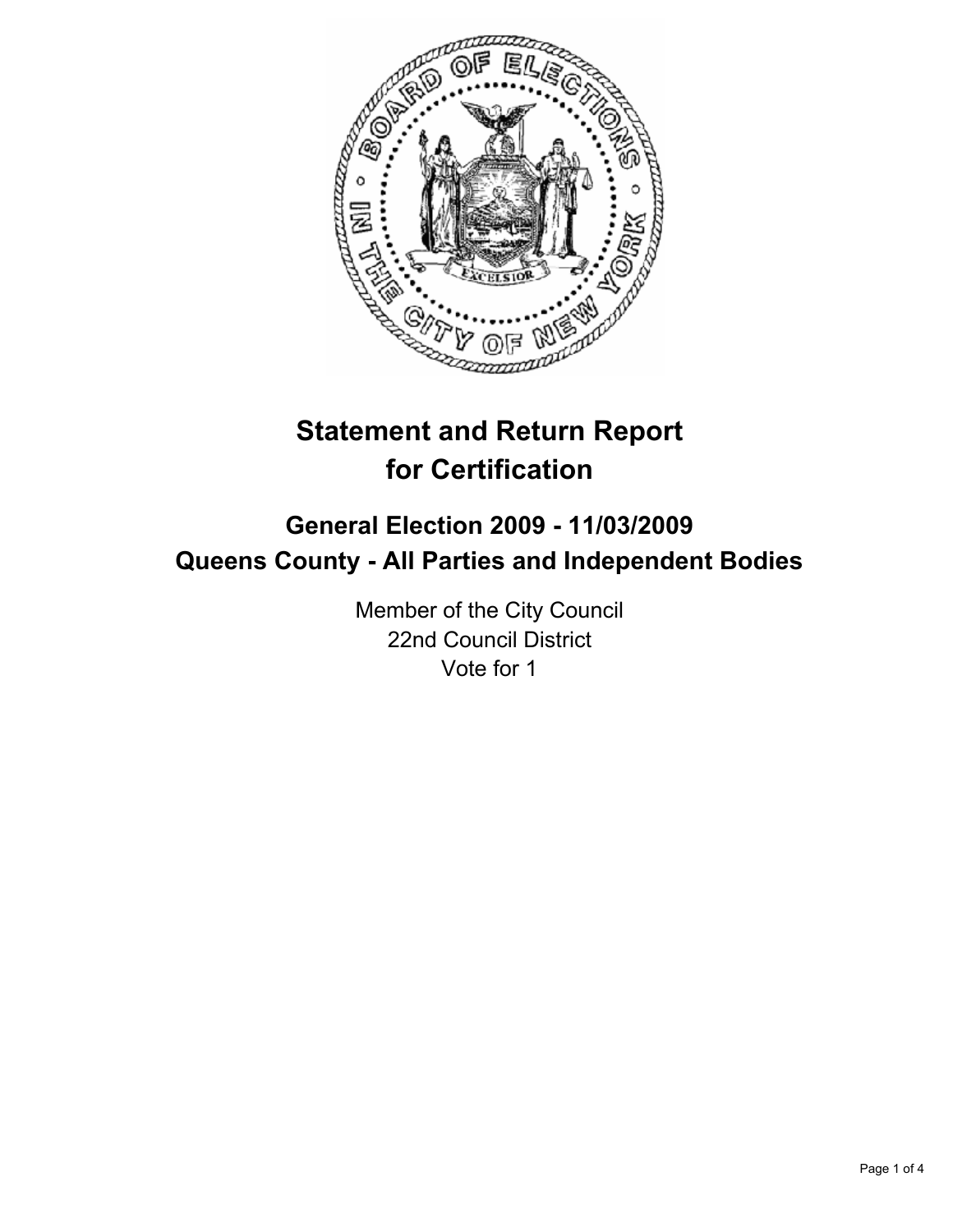

# **Statement and Return Report for Certification**

# **General Election 2009 - 11/03/2009 Queens County - All Parties and Independent Bodies**

Member of the City Council 22nd Council District Vote for 1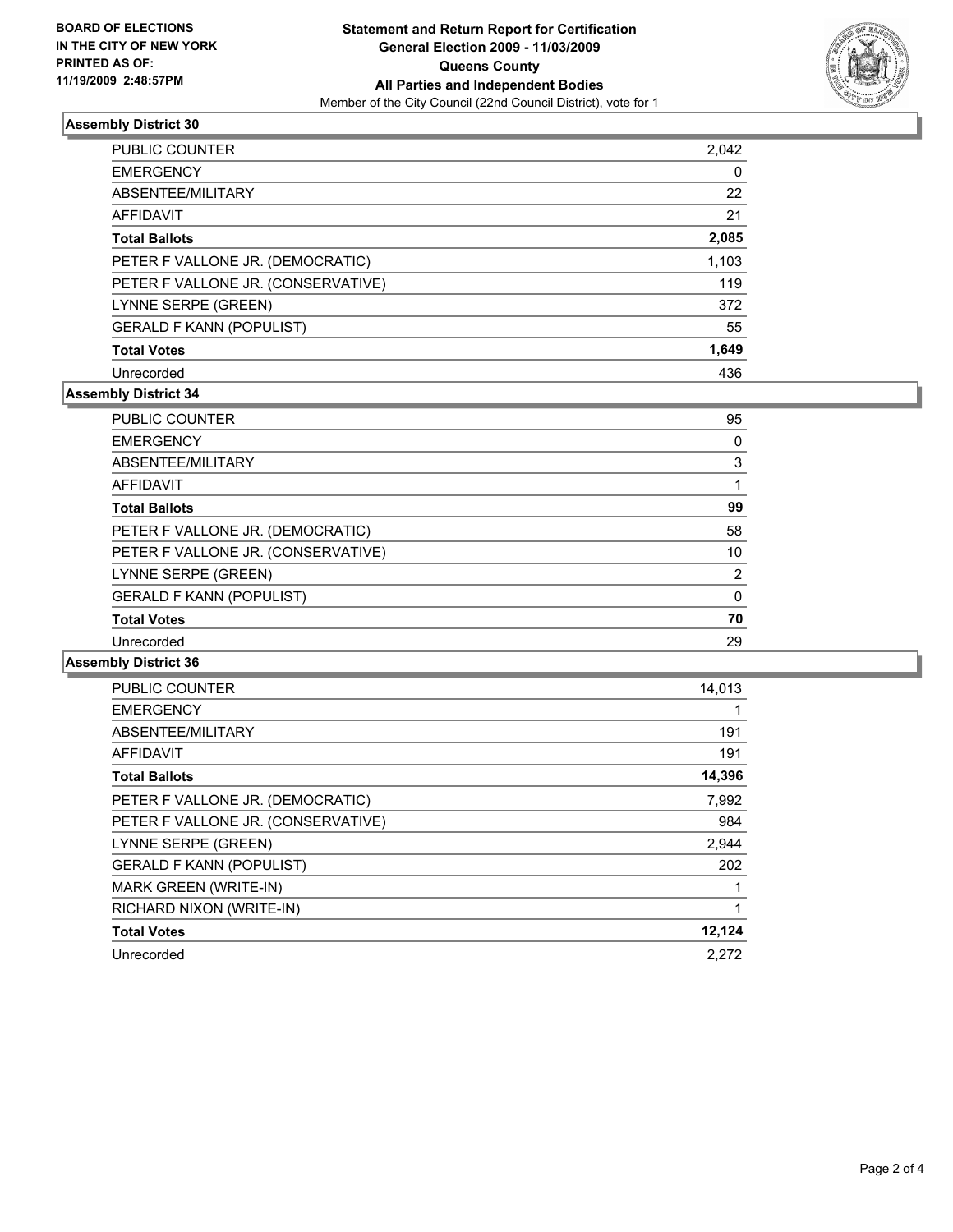

# **Assembly District 30**

| PUBLIC COUNTER                     | 2,042 |
|------------------------------------|-------|
| <b>EMERGENCY</b>                   | 0     |
| ABSENTEE/MILITARY                  | 22    |
| AFFIDAVIT                          | 21    |
| <b>Total Ballots</b>               | 2,085 |
| PETER F VALLONE JR. (DEMOCRATIC)   | 1,103 |
| PETER F VALLONE JR. (CONSERVATIVE) | 119   |
| LYNNE SERPE (GREEN)                | 372   |
| <b>GERALD F KANN (POPULIST)</b>    | 55    |
| <b>Total Votes</b>                 | 1,649 |
| Unrecorded                         | 436   |

# **Assembly District 34**

| PUBLIC COUNTER                     | 95 |
|------------------------------------|----|
| <b>EMERGENCY</b>                   | 0  |
| ABSENTEE/MILITARY                  | 3  |
| <b>AFFIDAVIT</b>                   |    |
| <b>Total Ballots</b>               | 99 |
| PETER F VALLONE JR. (DEMOCRATIC)   | 58 |
| PETER F VALLONE JR. (CONSERVATIVE) | 10 |
| LYNNE SERPE (GREEN)                | 2  |
| <b>GERALD F KANN (POPULIST)</b>    | 0  |
| <b>Total Votes</b>                 | 70 |
| Unrecorded                         | 29 |

#### **Assembly District 36**

| <b>PUBLIC COUNTER</b>              | 14,013 |
|------------------------------------|--------|
| <b>EMERGENCY</b>                   |        |
| ABSENTEE/MILITARY                  | 191    |
| <b>AFFIDAVIT</b>                   | 191    |
| <b>Total Ballots</b>               | 14,396 |
| PETER F VALLONE JR. (DEMOCRATIC)   | 7,992  |
| PETER F VALLONE JR. (CONSERVATIVE) | 984    |
| LYNNE SERPE (GREEN)                | 2,944  |
| <b>GERALD F KANN (POPULIST)</b>    | 202    |
| <b>MARK GREEN (WRITE-IN)</b>       | 1      |
| RICHARD NIXON (WRITE-IN)           | 1      |
| <b>Total Votes</b>                 | 12,124 |
| Unrecorded                         | 2,272  |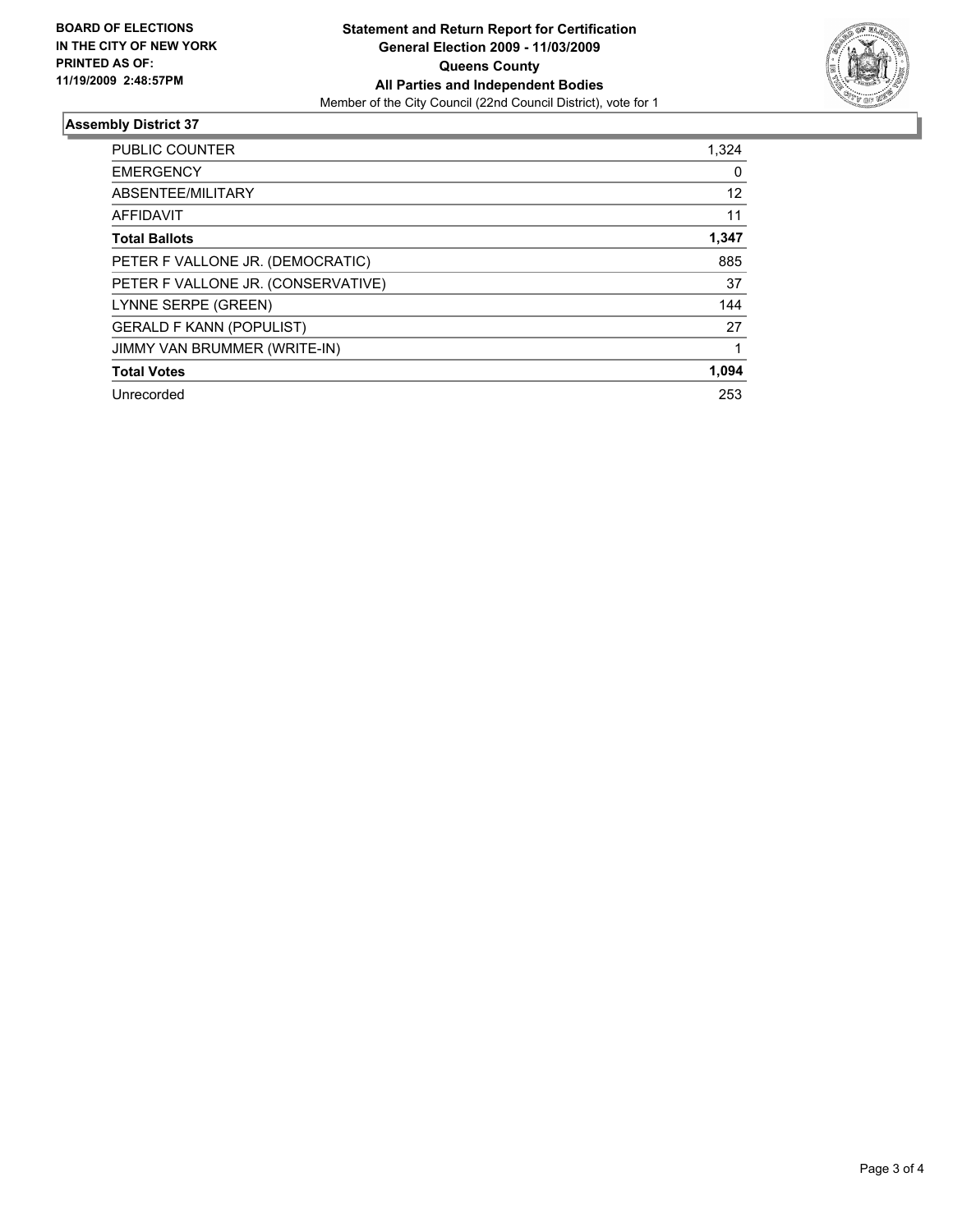

# **Assembly District 37**

| <b>PUBLIC COUNTER</b>              | 1,324 |
|------------------------------------|-------|
| <b>EMERGENCY</b>                   | 0     |
| ABSENTEE/MILITARY                  | 12    |
| <b>AFFIDAVIT</b>                   | 11    |
| <b>Total Ballots</b>               | 1,347 |
| PETER F VALLONE JR. (DEMOCRATIC)   | 885   |
| PETER F VALLONE JR. (CONSERVATIVE) | 37    |
| LYNNE SERPE (GREEN)                | 144   |
| <b>GERALD F KANN (POPULIST)</b>    | 27    |
| JIMMY VAN BRUMMER (WRITE-IN)       |       |
| <b>Total Votes</b>                 | 1,094 |
| Unrecorded                         | 253   |